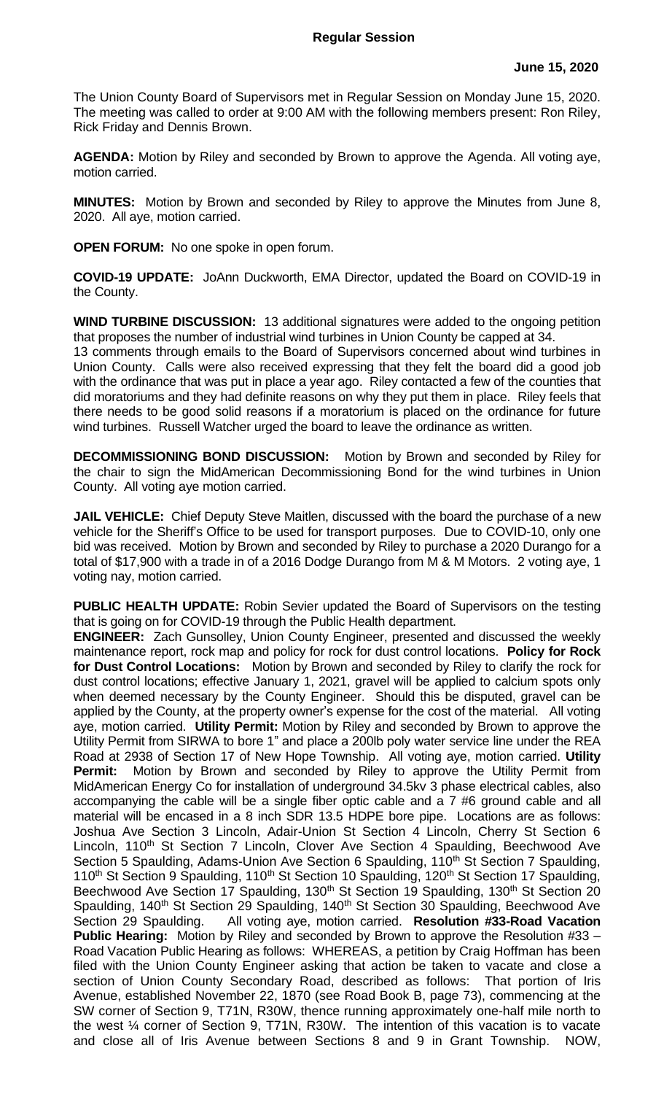## **Regular Session**

The Union County Board of Supervisors met in Regular Session on Monday June 15, 2020. The meeting was called to order at 9:00 AM with the following members present: Ron Riley, Rick Friday and Dennis Brown.

**AGENDA:** Motion by Riley and seconded by Brown to approve the Agenda. All voting aye, motion carried.

**MINUTES:** Motion by Brown and seconded by Riley to approve the Minutes from June 8, 2020. All aye, motion carried.

**OPEN FORUM:** No one spoke in open forum.

**COVID-19 UPDATE:** JoAnn Duckworth, EMA Director, updated the Board on COVID-19 in the County.

**WIND TURBINE DISCUSSION:** 13 additional signatures were added to the ongoing petition that proposes the number of industrial wind turbines in Union County be capped at 34.

13 comments through emails to the Board of Supervisors concerned about wind turbines in Union County. Calls were also received expressing that they felt the board did a good job with the ordinance that was put in place a year ago. Riley contacted a few of the counties that did moratoriums and they had definite reasons on why they put them in place. Riley feels that there needs to be good solid reasons if a moratorium is placed on the ordinance for future wind turbines. Russell Watcher urged the board to leave the ordinance as written.

**DECOMMISSIONING BOND DISCUSSION:** Motion by Brown and seconded by Riley for the chair to sign the MidAmerican Decommissioning Bond for the wind turbines in Union County. All voting aye motion carried.

**JAIL VEHICLE:** Chief Deputy Steve Maitlen, discussed with the board the purchase of a new vehicle for the Sheriff's Office to be used for transport purposes. Due to COVID-10, only one bid was received. Motion by Brown and seconded by Riley to purchase a 2020 Durango for a total of \$17,900 with a trade in of a 2016 Dodge Durango from M & M Motors. 2 voting aye, 1 voting nay, motion carried.

**PUBLIC HEALTH UPDATE:** Robin Sevier updated the Board of Supervisors on the testing that is going on for COVID-19 through the Public Health department.

**ENGINEER:** Zach Gunsolley, Union County Engineer, presented and discussed the weekly maintenance report, rock map and policy for rock for dust control locations. **Policy for Rock for Dust Control Locations:** Motion by Brown and seconded by Riley to clarify the rock for dust control locations; effective January 1, 2021, gravel will be applied to calcium spots only when deemed necessary by the County Engineer. Should this be disputed, gravel can be applied by the County, at the property owner's expense for the cost of the material. All voting aye, motion carried. **Utility Permit:** Motion by Riley and seconded by Brown to approve the Utility Permit from SIRWA to bore 1" and place a 200lb poly water service line under the REA Road at 2938 of Section 17 of New Hope Township. All voting aye, motion carried. **Utility Permit:** Motion by Brown and seconded by Riley to approve the Utility Permit from MidAmerican Energy Co for installation of underground 34.5kv 3 phase electrical cables, also accompanying the cable will be a single fiber optic cable and a 7 #6 ground cable and all material will be encased in a 8 inch SDR 13.5 HDPE bore pipe. Locations are as follows: Joshua Ave Section 3 Lincoln, Adair-Union St Section 4 Lincoln, Cherry St Section 6 Lincoln, 110<sup>th</sup> St Section 7 Lincoln, Clover Ave Section 4 Spaulding, Beechwood Ave Section 5 Spaulding, Adams-Union Ave Section 6 Spaulding, 110<sup>th</sup> St Section 7 Spaulding, 110<sup>th</sup> St Section 9 Spaulding, 110<sup>th</sup> St Section 10 Spaulding, 120<sup>th</sup> St Section 17 Spaulding, Beechwood Ave Section 17 Spaulding, 130<sup>th</sup> St Section 19 Spaulding, 130<sup>th</sup> St Section 20 Spaulding, 140<sup>th</sup> St Section 29 Spaulding, 140<sup>th</sup> St Section 30 Spaulding, Beechwood Ave Section 29 Spaulding. All voting aye, motion carried. **Resolution #33-Road Vacation Public Hearing:** Motion by Riley and seconded by Brown to approve the Resolution #33 – Road Vacation Public Hearing as follows: WHEREAS, a petition by Craig Hoffman has been filed with the Union County Engineer asking that action be taken to vacate and close a section of Union County Secondary Road, described as follows: That portion of Iris Avenue, established November 22, 1870 (see Road Book B, page 73), commencing at the SW corner of Section 9, T71N, R30W, thence running approximately one-half mile north to the west ¼ corner of Section 9, T71N, R30W. The intention of this vacation is to vacate and close all of Iris Avenue between Sections 8 and 9 in Grant Township. NOW,